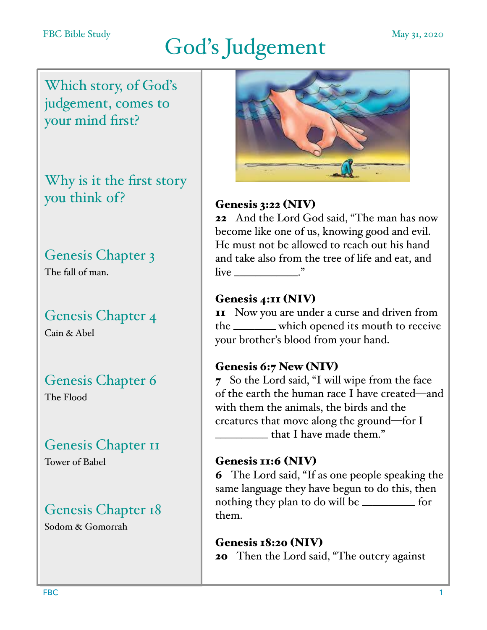# God's Judgement

Which story, of God's judgement, comes to your mind first?

Why is it the first story you think of?

## Genesis Chapter 3

The fall of man.

## Genesis Chapter 4

Cain & Abel

## Genesis Chapter 6

The Flood

## Genesis Chapter 11

Tower of Babel

## Genesis Chapter 18

Sodom & Gomorrah



#### Genesis 3:22 (NIV)

22 And the Lord God said, "The man has now become like one of us, knowing good and evil. He must not be allowed to reach out his hand and take also from the tree of life and eat, and  $\lim_{n \to \infty}$   $\lim_{n \to \infty}$ 

#### Genesis 4:11 (NIV)

**11** Now you are under a curse and driven from the \_\_\_\_\_\_\_\_ which opened its mouth to receive your brother's blood from your hand.

#### Genesis 6:7 New (NIV)

7 So the Lord said, "I will wipe from the face of the earth the human race I have created—and with them the animals, the birds and the creatures that move along the ground—for I  $\mu$  that I have made them."

#### Genesis 11:6 (NIV)

6 The Lord said, "If as one people speaking the same language they have begun to do this, then nothing they plan to do will be \_\_\_\_\_\_\_\_\_\_ for them.

#### Genesis 18:20 (NIV) 20 Then the Lord said, "The outcry against